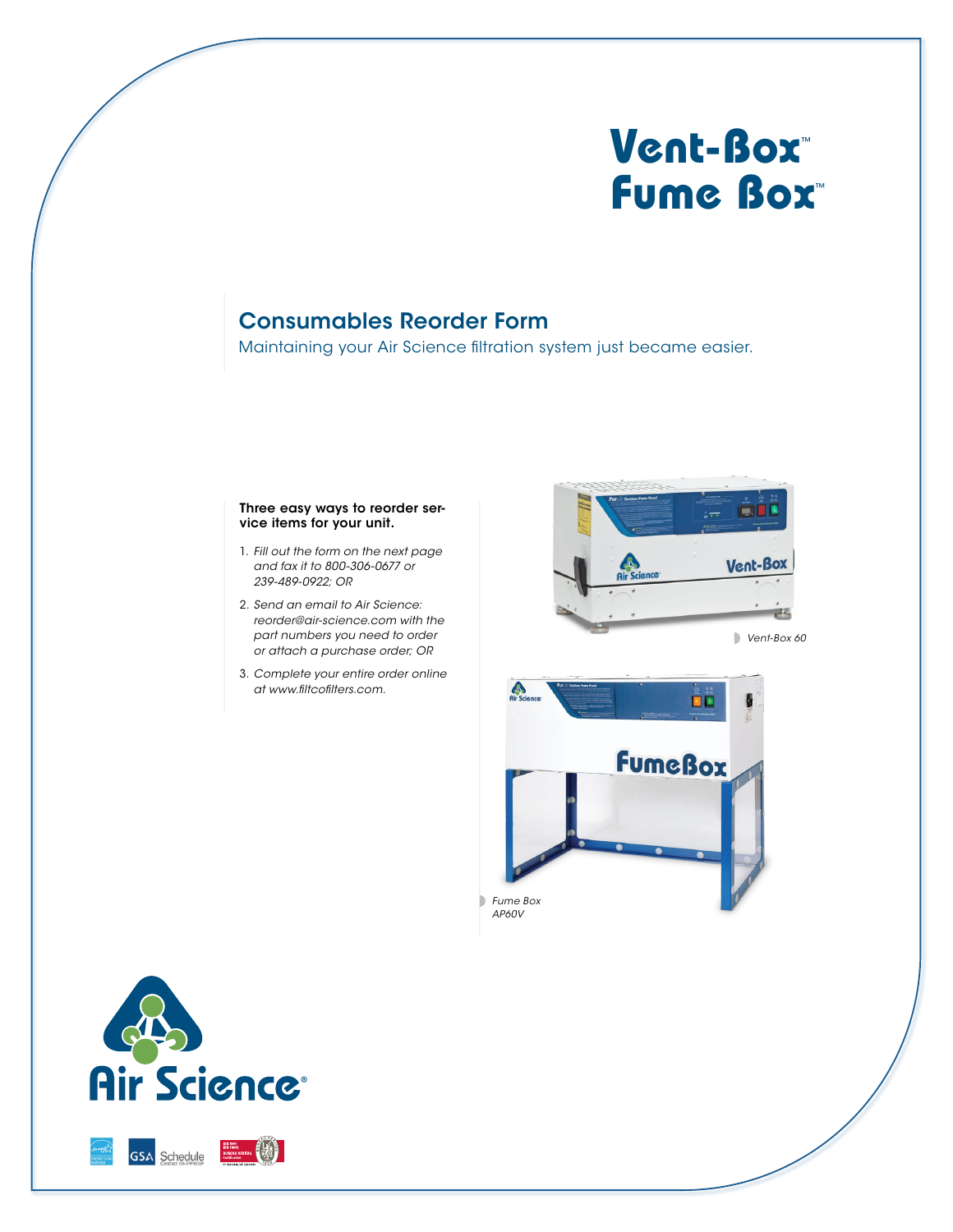# **Vent-Box**™ **Fume Box**™

## Consumables Reorder Form

Maintaining your Air Science filtration system just became easier.

#### Three easy ways to reorder service items for your unit.

- 1. *Fill out the form on the next page and fax it to 800-306-0677 or 239-489-0922; OR*
- 2. *Send an email to Air Science: reorder@air-science.com with the part numbers you need to order or attach a purchase order; OR*
- 3. *Complete your entire order online at www.filtcofilters.com.*



*Vent-Box 60*



*AP60V*